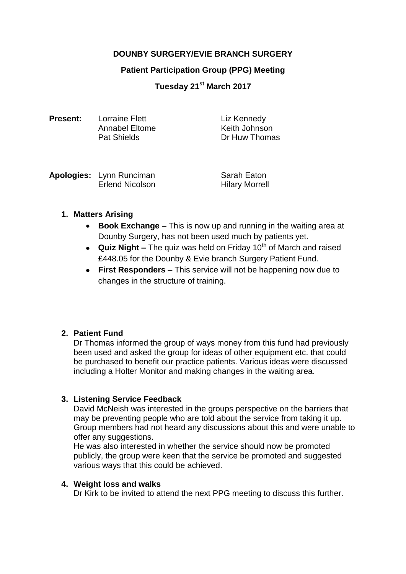# **DOUNBY SURGERY/EVIE BRANCH SURGERY**

#### **Patient Participation Group (PPG) Meeting**

**Tuesday 21st March 2017**

| <b>Present:</b> | Lorraine Flett     | Liz Kennedy   |
|-----------------|--------------------|---------------|
|                 | Annabel Eltome     | Keith Johnson |
|                 | <b>Pat Shields</b> | Dr Huw Thomas |

| <b>Apologies:</b> Lynn Runciman | Sarah Eaton           |
|---------------------------------|-----------------------|
| <b>Erlend Nicolson</b>          | <b>Hilary Morrell</b> |

## **1. Matters Arising**

- **Book Exchange –** This is now up and running in the waiting area at Dounby Surgery, has not been used much by patients yet.
- **Quiz Night** The quiz was held on Friday 10<sup>th</sup> of March and raised £448.05 for the Dounby & Evie branch Surgery Patient Fund.
- **First Responders –** This service will not be happening now due to changes in the structure of training.

## **2. Patient Fund**

Dr Thomas informed the group of ways money from this fund had previously been used and asked the group for ideas of other equipment etc. that could be purchased to benefit our practice patients. Various ideas were discussed including a Holter Monitor and making changes in the waiting area.

## **3. Listening Service Feedback**

David McNeish was interested in the groups perspective on the barriers that may be preventing people who are told about the service from taking it up. Group members had not heard any discussions about this and were unable to offer any suggestions.

He was also interested in whether the service should now be promoted publicly, the group were keen that the service be promoted and suggested various ways that this could be achieved.

## **4. Weight loss and walks**

Dr Kirk to be invited to attend the next PPG meeting to discuss this further.